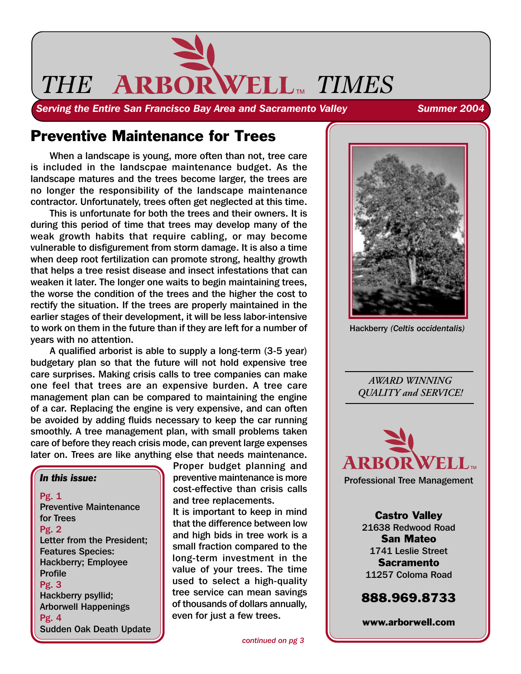

**Serving the Entire San Francisco Bay Area and Sacramento Valley Summer 2004** 

# Preventive Maintenance for Trees

When a landscape is young, more often than not, tree care is included in the landscpae maintenance budget. As the landscape matures and the trees become larger, the trees are no longer the responsibility of the landscape maintenance contractor. Unfortunately, trees often get neglected at this time.

This is unfortunate for both the trees and their owners. It is during this period of time that trees may develop many of the weak growth habits that require cabling, or may become vulnerable to disfigurement from storm damage. It is also a time when deep root fertilization can promote strong, healthy growth that helps a tree resist disease and insect infestations that can weaken it later. The longer one waits to begin maintaining trees, the worse the condition of the trees and the higher the cost to rectify the situation. If the trees are properly maintained in the earlier stages of their development, it will be less labor-intensive to work on them in the future than if they are left for a number of years with no attention.

A qualified arborist is able to supply a long-term (3-5 year) budgetary plan so that the future will not hold expensive tree care surprises. Making crisis calls to tree companies can make one feel that trees are an expensive burden. A tree care management plan can be compared to maintaining the engine of a car. Replacing the engine is very expensive, and can often be avoided by adding fluids necessary to keep the car running smoothly. A tree management plan, with small problems taken care of before they reach crisis mode, can prevent large expenses later on. Trees are like anything else that needs maintenance.

*In this issue:* Pg. 1 Preventive Maintenance for Trees Pg. 2 Letter from the President; Features Species: Hackberry; Employee Profile Pg. 3 Hackberry psyllid; Arborwell Happenings Pg. 4 Sudden Oak Death Update

Proper budget planning and preventive maintenance is more cost-effective than crisis calls and tree replacements. It is important to keep in mind that the difference between low and high bids in tree work is a small fraction compared to the long-term investment in the value of your trees. The time used to select a high-quality tree service can mean savings of thousands of dollars annually,

even for just a few trees.



Hackberry *(Celtis occidentalis)*

*AWARD WINNING QUALITY and SERVICE!*



Professional Tree Management

Castro Valley 21638 Redwood Road San Mateo 1741 Leslie Street Sacramento 11257 Coloma Road

## 888.969.8733

www.arborwell.com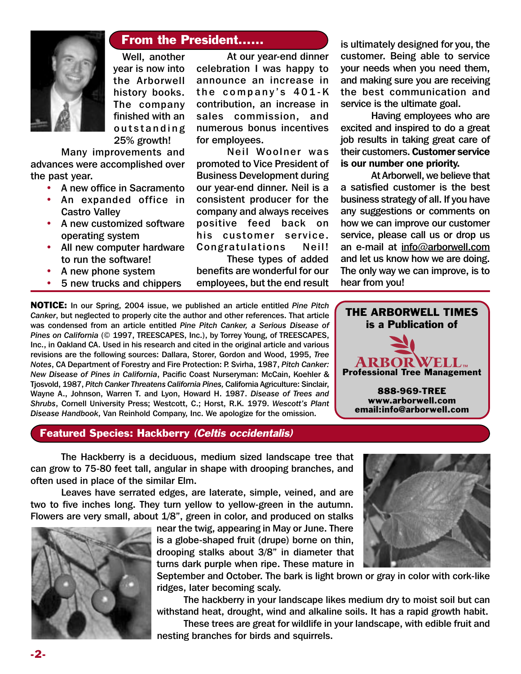

### From the President......

Well, another year is now into the Arborwell history books. The company finished with an outstanding 25% growth!

Many improvements and advances were accomplished over the past year.

- A new office in Sacramento
- An expanded office in Castro Valley
- A new customized software operating system
- All new computer hardware to run the software!
- A new phone system
- 5 new trucks and chippers

At our year-end dinner celebration I was happy to announce an increase in the company's 401-K contribution, an increase in sales commission, and numerous bonus incentives for employees.

Neil Woolner was promoted to Vice President of Business Development during our year-end dinner. Neil is a consistent producer for the company and always receives positive feed back on his customer service. Congratulations Neil!

These types of added benefits are wonderful for our employees, but the end result

NOTICE: In our Spring, 2004 issue, we published an article entitled *Pine Pitch Canker*, but neglected to properly cite the author and other references. That article was condensed from an article entitled *Pine Pitch Canker, a Serious Disease of Pines on California* (© 1997, TREESCAPES, Inc.), by Torrey Young, of TREESCAPES, Inc., in Oakland CA. Used in his research and cited in the original article and various revisions are the following sources: Dallara, Storer, Gordon and Wood, 1995, *Tree Notes*, CA Department of Forestry and Fire Protection: P. Svirha, 1987, *Pitch Canker: New Disease of Pines in California*, Pacific Coast Nurseryman: McCain, Koehler & Tjosvold, 1987, *Pitch Canker Threatens California Pines,* California Agriculture: Sinclair, Wayne A., Johnson, Warren T. and Lyon, Howard H. 1987. *Disease of Trees and Shrubs*, Cornell University Press; Westcott, C.; Horst, R.K. 1979. *Wescott's Plant Disease Handbook*, Van Reinhold Company, Inc. We apologize for the omission.

#### Featured Species: Hackberry (Celtis occidentalis)

is ultimately designed for you, the customer. Being able to service your needs when you need them, and making sure you are receiving the best communication and service is the ultimate goal.

Having employees who are excited and inspired to do a great job results in taking great care of their customers. Customer service is our number one priority.

At Arborwell, we believe that a satisfied customer is the best business strategy of all. If you have any suggestions or comments on how we can improve our customer service, please call us or drop us an e-mail at info@arborwell.com and let us know how we are doing. The only way we can improve, is to hear from you!



www.arborwell.com email:info@arborwell.com

The Hackberry is a deciduous, medium sized landscape tree that can grow to 75-80 feet tall, angular in shape with drooping branches, and often used in place of the similar Elm.

Leaves have serrated edges, are laterate, simple, veined, and are two to five inches long. They turn yellow to yellow-green in the autumn. Flowers are very small, about 1/8", green in color, and produced on stalks



near the twig, appearing in May or June. There is a globe-shaped fruit (drupe) borne on thin, drooping stalks about 3/8" in diameter that turns dark purple when ripe. These mature in

September and October. The bark is light brown or gray in color with cork-like ridges, later becoming scaly.

The hackberry in your landscape likes medium dry to moist soil but can withstand heat, drought, wind and alkaline soils. It has a rapid growth habit.

These trees are great for wildlife in your landscape, with edible fruit and nesting branches for birds and squirrels.

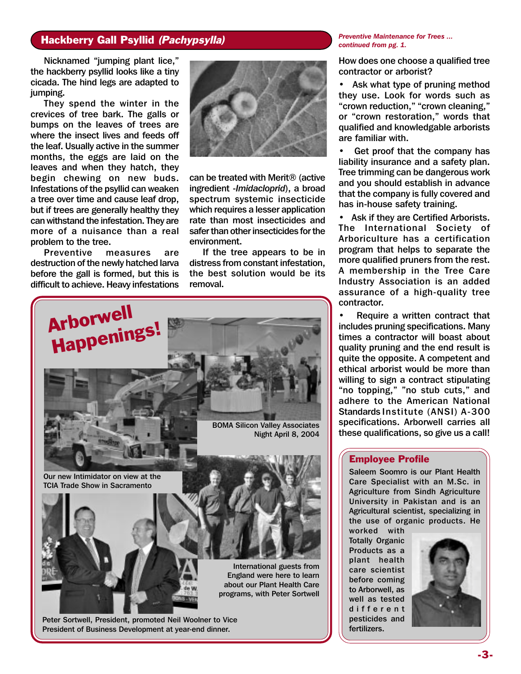### Hackberry Gall Psyllid (Pachypsylla)

Nicknamed "jumping plant lice," the hackberry psyllid looks like a tiny cicada. The hind legs are adapted to jumping.

They spend the winter in the crevices of tree bark. The galls or bumps on the leaves of trees are where the insect lives and feeds off the leaf. Usually active in the summer months, the eggs are laid on the leaves and when they hatch, they begin chewing on new buds. Infestations of the psyllid can weaken a tree over time and cause leaf drop, but if trees are generally healthy they can withstand the infestation. They are more of a nuisance than a real problem to the tree.

Preventive measures are destruction of the newly hatched larva before the gall is formed, but this is difficult to achieve. Heavy infestations



can be treated with Merit® (active ingredient -*Imidacloprid*), a broad spectrum systemic insecticide which requires a lesser application rate than most insecticides and safer than other insecticides for the environment.

If the tree appears to be in distress from constant infestation, the best solution would be its removal.



Peter Sortwell, President, promoted Neil Woolner to Vice President of Business Development at year-end dinner.

*Preventive Maintenance for Trees ... continued from pg. 1.*

How does one choose a qualified tree contractor or arborist?

• Ask what type of pruning method they use. Look for words such as "crown reduction," "crown cleaning," or "crown restoration," words that qualified and knowledgable arborists are familiar with.

• Get proof that the company has liability insurance and a safety plan. Tree trimming can be dangerous work and you should establish in advance that the company is fully covered and has in-house safety training.

Ask if they are Certified Arborists. The International Society of Arboriculture has a certification program that helps to separate the more qualified pruners from the rest. A membership in the Tree Care Industry Association is an added assurance of a high-quality tree contractor.

Require a written contract that includes pruning specifications. Many times a contractor will boast about quality pruning and the end result is quite the opposite. A competent and ethical arborist would be more than willing to sign a contract stipulating "no topping," "no stub cuts," and adhere to the American National Standards Institute (ANSI) A-300 specifications. Arborwell carries all these qualifications, so give us a call!

#### Employee Profile

Saleem Soomro is our Plant Health Care Specialist with an M.Sc. in Agriculture from Sindh Agriculture University in Pakistan and is an Agricultural scientist, specializing in the use of organic products. He worked with

Totally Organic Products as a plant health care scientist before coming to Arborwell, as well as tested different pesticides and fertilizers.